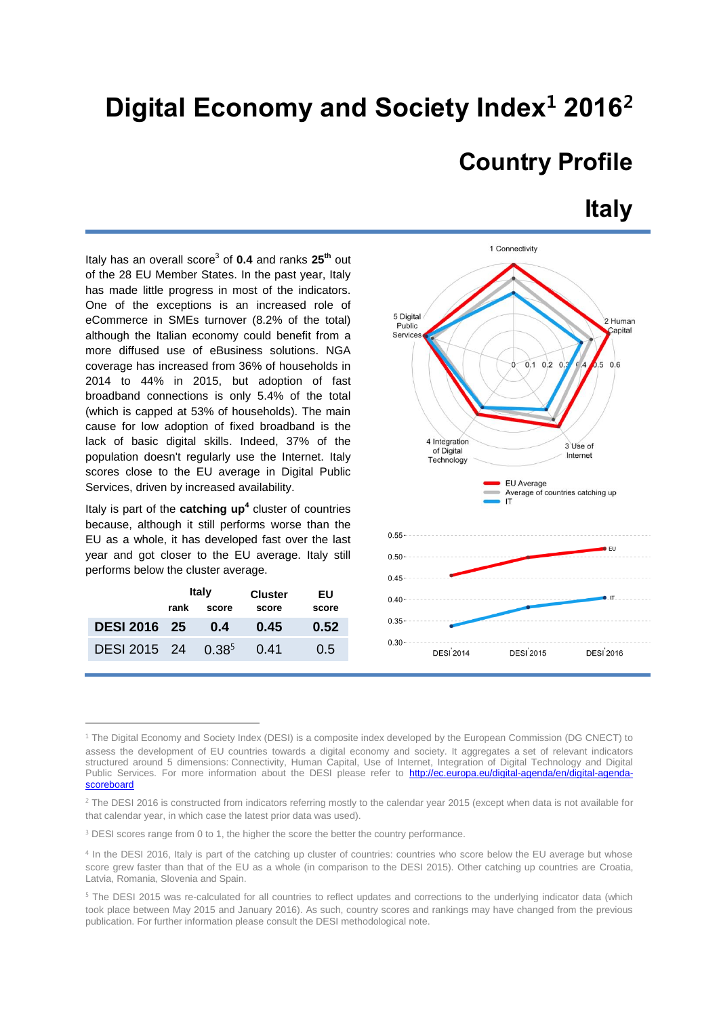# **Digital Economy and Society Index<sup>1</sup> 2016 2**

## **Country Profile**

### **Italy**

Italy has an overall score<sup>3</sup> of 0.4 and ranks 25<sup>th</sup> out of the 28 EU Member States. In the past year, Italy has made little progress in most of the indicators. One of the exceptions is an increased role of eCommerce in SMEs turnover (8.2% of the total) although the Italian economy could benefit from a more diffused use of eBusiness solutions. NGA coverage has increased from 36% of households in 2014 to 44% in 2015, but adoption of fast broadband connections is only 5.4% of the total (which is capped at 53% of households). The main cause for low adoption of fixed broadband is the lack of basic digital skills. Indeed, 37% of the population doesn't regularly use the Internet. Italy scores close to the EU average in Digital Public Services, driven by increased availability.

Italy is part of the **catching up<sup>4</sup>** cluster of countries because, although it still performs worse than the EU as a whole, it has developed fast over the last year and got closer to the EU average. Italy still performs below the cluster average.

|                       | <b>Italy</b> |       | <b>Cluster</b> | ΕU    |
|-----------------------|--------------|-------|----------------|-------|
|                       | rank         | score | score          | score |
| <b>DESI 2016 25</b>   |              | 0.4   | 0.45           | 0.52  |
| DESI 2015 24 $0.38^5$ |              |       | 0.41           | 0.5   |

1



<sup>&</sup>lt;sup>1</sup> The Digital Economy and Society Index (DESI) is a composite index developed by the European Commission (DG CNECT) to assess the development of EU countries towards a digital economy and society. It aggregates a set of relevant indicators structured around 5 dimensions: Connectivity, Human Capital, Use of Internet, Integration of Digital Technology and Digital Public Services. For more information about the DESI please refer to [http://ec.europa.eu/digital-agenda/en/digital-agenda](http://ec.europa.eu/digital-agenda/en/digital-agenda-scoreboard)**[scoreboard](http://ec.europa.eu/digital-agenda/en/digital-agenda-scoreboard)** 

<sup>&</sup>lt;sup>2</sup> The DESI 2016 is constructed from indicators referring mostly to the calendar year 2015 (except when data is not available for that calendar year, in which case the latest prior data was used).

<sup>&</sup>lt;sup>3</sup> DESI scores range from 0 to 1, the higher the score the better the country performance.

<sup>4</sup> In the DESI 2016, Italy is part of the catching up cluster of countries: countries who score below the EU average but whose score grew faster than that of the EU as a whole (in comparison to the DESI 2015). Other catching up countries are Croatia, Latvia, Romania, Slovenia and Spain.

<sup>5</sup> The DESI 2015 was re-calculated for all countries to reflect updates and corrections to the underlying indicator data (which took place between May 2015 and January 2016). As such, country scores and rankings may have changed from the previous publication. For further information please consult the DESI methodological note.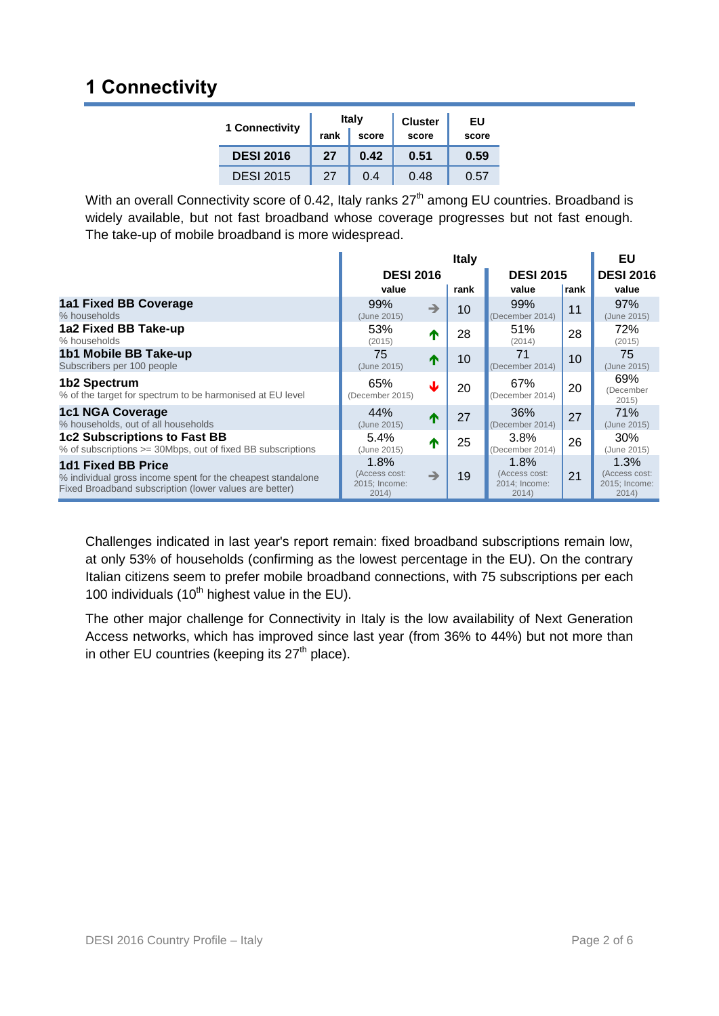## **1 Connectivity**

| 1 Connectivity   | <b>Italy</b><br>rank<br>score |      | <b>Cluster</b><br>score | EU<br>score |  |
|------------------|-------------------------------|------|-------------------------|-------------|--|
| <b>DESI 2016</b> | 27                            | 0.42 | 0.51                    | 0.59        |  |
| <b>DESI 2015</b> | 27                            | 0.4  | 0.48                    | 0.57        |  |

With an overall Connectivity score of 0.42, Italy ranks 27<sup>th</sup> among EU countries. Broadband is widely available, but not fast broadband whose coverage progresses but not fast enough. The take-up of mobile broadband is more widespread.

|                                                                                                                                             | <b>Italy</b>                                    |               |      |                                                 |                  | EU                                              |
|---------------------------------------------------------------------------------------------------------------------------------------------|-------------------------------------------------|---------------|------|-------------------------------------------------|------------------|-------------------------------------------------|
|                                                                                                                                             | <b>DESI 2016</b>                                |               |      | <b>DESI 2015</b>                                | <b>DESI 2016</b> |                                                 |
|                                                                                                                                             | value                                           |               | rank | value                                           | rank             | value                                           |
| 1a1 Fixed BB Coverage<br>% households                                                                                                       | 99%<br>(June 2015)                              | $\rightarrow$ | 10   | 99%<br>(December 2014)                          | 11               | 97%<br>(June 2015)                              |
| 1a2 Fixed BB Take-up<br>% households                                                                                                        | 53%<br>(2015)                                   | ⋔             | 28   | 51%<br>(2014)                                   | 28               | 72%<br>(2015)                                   |
| 1b1 Mobile BB Take-up<br>Subscribers per 100 people                                                                                         | 75<br>(June 2015)                               | T             | 10   | 71<br>(December 2014)                           | 10               | 75<br>(June 2015)                               |
| 1b2 Spectrum<br>% of the target for spectrum to be harmonised at EU level                                                                   | 65%<br>(December 2015)                          | J             | 20   | 67%<br>(December 2014)                          | 20               | 69%<br>(December<br>2015                        |
| <b>1c1 NGA Coverage</b><br>% households, out of all households                                                                              | 44%<br>(June 2015)                              | ́↑            | 27   | 36%<br>(December 2014)                          | 27               | 71%<br>(June 2015)                              |
| <b>1c2 Subscriptions to Fast BB</b><br>% of subscriptions >= 30Mbps, out of fixed BB subscriptions                                          | 5.4%<br>(June 2015)                             | T             | 25   | $3.8\%$<br>(December 2014)                      | 26               | 30%<br>(June 2015)                              |
| 1d1 Fixed BB Price<br>% individual gross income spent for the cheapest standalone<br>Fixed Broadband subscription (lower values are better) | 1.8%<br>(Access cost:<br>2015; Income:<br>2014) | $\rightarrow$ | 19   | 1.8%<br>(Access cost:<br>2014; Income:<br>2014) | 21               | 1.3%<br>(Access cost:<br>2015; Income:<br>2014) |

Challenges indicated in last year's report remain: fixed broadband subscriptions remain low, at only 53% of households (confirming as the lowest percentage in the EU). On the contrary Italian citizens seem to prefer mobile broadband connections, with 75 subscriptions per each 100 individuals  $(10<sup>th</sup>$  highest value in the EU).

The other major challenge for Connectivity in Italy is the low availability of Next Generation Access networks, which has improved since last year (from 36% to 44%) but not more than in other EU countries (keeping its  $27<sup>th</sup>$  place).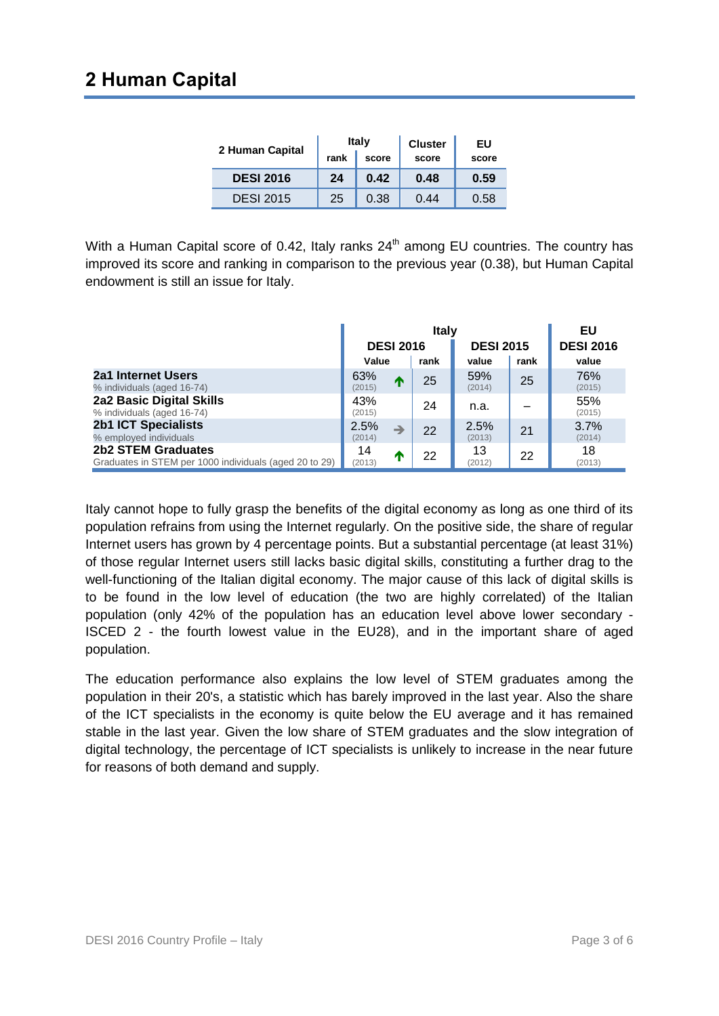#### **2 Human Capital**

|                  |               | <b>Italy</b> | <b>Cluster</b> | EU    |
|------------------|---------------|--------------|----------------|-------|
| 2 Human Capital  | rank<br>score |              | score          | score |
| <b>DESI 2016</b> | 24            | 0.42         | 0.48           | 0.59  |
| <b>DESI 2015</b> | 25            | 0.38         | 0.44           | 0.58  |

With a Human Capital score of 0.42, Italy ranks  $24<sup>th</sup>$  among EU countries. The country has improved its score and ranking in comparison to the previous year (0.38), but Human Capital endowment is still an issue for Italy.

|                                                                                     | <b>Italy</b>     |   |      |                  |      | EU               |
|-------------------------------------------------------------------------------------|------------------|---|------|------------------|------|------------------|
|                                                                                     | <b>DESI 2016</b> |   |      | <b>DESI 2015</b> |      | <b>DESI 2016</b> |
|                                                                                     | Value            |   | rank | value            | rank | value            |
| 2a1 Internet Users<br>% individuals (aged 16-74)                                    | 63%<br>(2015)    |   | 25   | 59%<br>(2014)    | 25   | 76%<br>(2015)    |
| 2a2 Basic Digital Skills<br>% individuals (aged 16-74)                              | 43%<br>(2015)    |   | 24   | n.a.             |      | 55%<br>(2015)    |
| <b>2b1 ICT Specialists</b><br>% employed individuals                                | 2.5%<br>(2014)   |   | 22   | 2.5%<br>(2013)   | 21   | 3.7%<br>(2014)   |
| <b>2b2 STEM Graduates</b><br>Graduates in STEM per 1000 individuals (aged 20 to 29) | 14<br>(2013)     | W | 22   | 13<br>(2012)     | 22   | 18<br>(2013)     |

Italy cannot hope to fully grasp the benefits of the digital economy as long as one third of its population refrains from using the Internet regularly. On the positive side, the share of regular Internet users has grown by 4 percentage points. But a substantial percentage (at least 31%) of those regular Internet users still lacks basic digital skills, constituting a further drag to the well-functioning of the Italian digital economy. The major cause of this lack of digital skills is to be found in the low level of education (the two are highly correlated) of the Italian population (only 42% of the population has an education level above lower secondary - ISCED 2 - the fourth lowest value in the EU28), and in the important share of aged population.

The education performance also explains the low level of STEM graduates among the population in their 20's, a statistic which has barely improved in the last year. Also the share of the ICT specialists in the economy is quite below the EU average and it has remained stable in the last year. Given the low share of STEM graduates and the slow integration of digital technology, the percentage of ICT specialists is unlikely to increase in the near future for reasons of both demand and supply.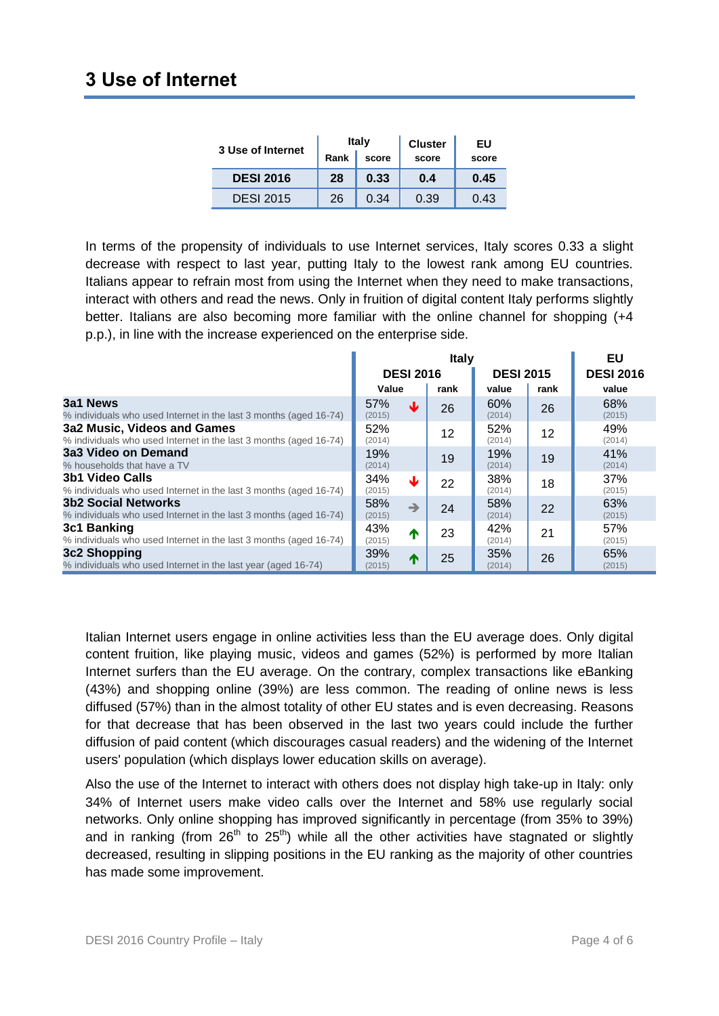| 3 Use of Internet |      | <b>Italy</b> | <b>Cluster</b> | EU    |
|-------------------|------|--------------|----------------|-------|
|                   | Rank | score        | score          | score |
| <b>DESI 2016</b>  | 28   | 0.33         | 0.4            | 0.45  |
| <b>DESI 2015</b>  | 26   | 0.34         | 0.39           | 0.43  |

In terms of the propensity of individuals to use Internet services, Italy scores 0.33 a slight decrease with respect to last year, putting Italy to the lowest rank among EU countries. Italians appear to refrain most from using the Internet when they need to make transactions, interact with others and read the news. Only in fruition of digital content Italy performs slightly better. Italians are also becoming more familiar with the online channel for shopping (+4 p.p.), in line with the increase experienced on the enterprise side.

|                                                                                                  | Italy                          |      |                  |      | EU               |
|--------------------------------------------------------------------------------------------------|--------------------------------|------|------------------|------|------------------|
|                                                                                                  | <b>DESI 2016</b>               |      | <b>DESI 2015</b> |      | <b>DESI 2016</b> |
|                                                                                                  | Value                          | rank | value            | rank | value            |
| 3a1 News<br>% individuals who used Internet in the last 3 months (aged 16-74)                    | 57%<br>₩<br>(2015)             | 26   | 60%<br>(2014)    | 26   | 68%<br>(2015)    |
| 3a2 Music, Videos and Games<br>% individuals who used Internet in the last 3 months (aged 16-74) | 52%<br>(2014)                  | 12   | 52%<br>(2014)    | 12   | 49%<br>(2014)    |
| 3a3 Video on Demand<br>% households that have a TV                                               | 19%<br>(2014)                  | 19   | 19%<br>(2014)    | 19   | 41%<br>(2014)    |
| 3b1 Video Calls<br>% individuals who used Internet in the last 3 months (aged 16-74)             | 34%<br>₩<br>(2015)             | 22   | 38%<br>(2014)    | 18   | 37%<br>(2015)    |
| <b>3b2 Social Networks</b><br>% individuals who used Internet in the last 3 months (aged 16-74)  | 58%<br>$\rightarrow$<br>(2015) | 24   | 58%<br>(2014)    | 22   | 63%<br>(2015)    |
| 3c1 Banking<br>% individuals who used Internet in the last 3 months (aged 16-74)                 | 43%<br>↑<br>(2015)             | 23   | 42%<br>(2014)    | 21   | 57%<br>(2015)    |
| 3c2 Shopping<br>% individuals who used Internet in the last year (aged 16-74)                    | 39%<br>↑<br>(2015)             | 25   | 35%<br>(2014)    | 26   | 65%<br>(2015)    |

Italian Internet users engage in online activities less than the EU average does. Only digital content fruition, like playing music, videos and games (52%) is performed by more Italian Internet surfers than the EU average. On the contrary, complex transactions like eBanking (43%) and shopping online (39%) are less common. The reading of online news is less diffused (57%) than in the almost totality of other EU states and is even decreasing. Reasons for that decrease that has been observed in the last two years could include the further diffusion of paid content (which discourages casual readers) and the widening of the Internet users' population (which displays lower education skills on average).

Also the use of the Internet to interact with others does not display high take-up in Italy: only 34% of Internet users make video calls over the Internet and 58% use regularly social networks. Only online shopping has improved significantly in percentage (from 35% to 39%) and in ranking (from  $26<sup>th</sup>$  to  $25<sup>th</sup>$ ) while all the other activities have stagnated or slightly decreased, resulting in slipping positions in the EU ranking as the majority of other countries has made some improvement.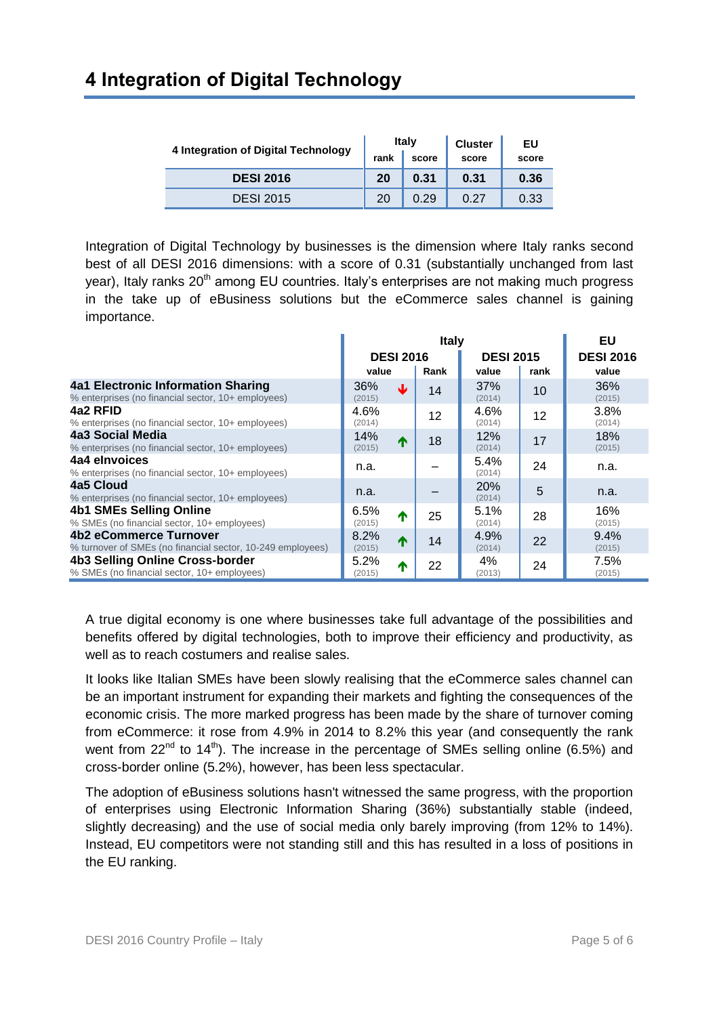#### **4 Integration of Digital Technology**

| 4 Integration of Digital Technology |      | <b>Italy</b> | <b>Cluster</b> | EU    |
|-------------------------------------|------|--------------|----------------|-------|
|                                     | rank | score        | score          | score |
| <b>DESI 2016</b>                    | 20   | 0.31         | 0.31           | 0.36  |
| <b>DESI 2015</b>                    | 20   | 0.29         | 0.27           | 0.33  |

Integration of Digital Technology by businesses is the dimension where Italy ranks second best of all DESI 2016 dimensions: with a score of 0.31 (substantially unchanged from last year), Italy ranks  $20<sup>th</sup>$  among EU countries. Italy's enterprises are not making much progress in the take up of eBusiness solutions but the eCommerce sales channel is gaining importance.

|                                                                                                 | <b>Italy</b>   |                  |      |                  |      | EU               |
|-------------------------------------------------------------------------------------------------|----------------|------------------|------|------------------|------|------------------|
|                                                                                                 |                | <b>DESI 2016</b> |      | <b>DESI 2015</b> |      | <b>DESI 2016</b> |
|                                                                                                 | value          |                  | Rank | value            | rank | value            |
| <b>4a1 Electronic Information Sharing</b><br>% enterprises (no financial sector, 10+ employees) | 36%<br>(2015)  | sk.              | 14   | 37%<br>(2014)    | 10   | 36%<br>(2015)    |
| 4a2 RFID<br>% enterprises (no financial sector, 10+ employees)                                  | 4.6%<br>(2014) |                  | 12   | 4.6%<br>(2014)   | 12   | 3.8%<br>(2014)   |
| 4a3 Social Media<br>% enterprises (no financial sector, 10+ employees)                          | 14%<br>(2015)  | $\blacktriangle$ | 18   | 12%<br>(2014)    | 17   | 18%<br>(2015)    |
| 4a4 elnvoices<br>% enterprises (no financial sector, 10+ employees)                             | n.a.           |                  |      | 5.4%<br>(2014)   | 24   | n.a.             |
| 4a5 Cloud<br>% enterprises (no financial sector, 10+ employees)                                 | n.a.           |                  |      | 20%<br>(2014)    | 5    | n.a.             |
| <b>4b1 SMEs Selling Online</b><br>% SMEs (no financial sector, 10+ employees)                   | 6.5%<br>(2015) | m                | 25   | 5.1%<br>(2014)   | 28   | 16%<br>(2015)    |
| 4b2 eCommerce Turnover<br>% turnover of SMEs (no financial sector, 10-249 employees)            | 8.2%<br>(2015) | $\blacktriangle$ | 14   | 4.9%<br>(2014)   | 22   | 9.4%<br>(2015)   |
| 4b3 Selling Online Cross-border<br>% SMEs (no financial sector, 10+ employees)                  | 5.2%<br>(2015) | $\blacksquare$   | 22   | 4%<br>(2013)     | 24   | 7.5%<br>(2015)   |

A true digital economy is one where businesses take full advantage of the possibilities and benefits offered by digital technologies, both to improve their efficiency and productivity, as well as to reach costumers and realise sales.

It looks like Italian SMEs have been slowly realising that the eCommerce sales channel can be an important instrument for expanding their markets and fighting the consequences of the economic crisis. The more marked progress has been made by the share of turnover coming from eCommerce: it rose from 4.9% in 2014 to 8.2% this year (and consequently the rank went from  $22^{nd}$  to  $14^{th}$ ). The increase in the percentage of SMEs selling online (6.5%) and cross-border online (5.2%), however, has been less spectacular.

The adoption of eBusiness solutions hasn't witnessed the same progress, with the proportion of enterprises using Electronic Information Sharing (36%) substantially stable (indeed, slightly decreasing) and the use of social media only barely improving (from 12% to 14%). Instead, EU competitors were not standing still and this has resulted in a loss of positions in the EU ranking.